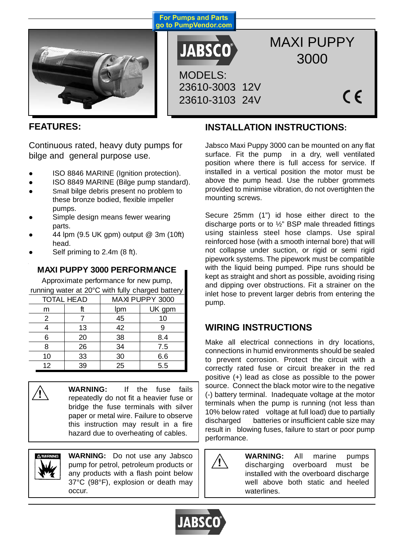

## **FEATURES:**

Continuous rated, heavy duty pumps for bilge and general purpose use.

- ISO 8846 MARINE (Ignition protection).
- ISO 8849 MARINE (Bilge pump standard).
- Small bilge debris present no problem to these bronze bodied, flexible impeller pumps.
- Simple design means fewer wearing parts.
- z 44 lpm (9.5 UK gpm) output @ 3m (10ft) head.
- Self priming to 2.4m (8 ft).

### **MAXI PUPPY 3000 PERFORMANCE**

Approximate performance for new pump, running water at 20°C with fully charged battery

|    | <b>TOTAL HEAD</b> |     | MAXI PUPPY 3000 |
|----|-------------------|-----|-----------------|
| m  | ft                | Ipm | UK gpm          |
| 2  |                   | 45  | 10              |
|    | 13                | 42  | 9               |
| 6  | 20                | 38  | 8.4             |
| 8  | 26                | 34  | 7.5             |
| 10 | 33                | 30  | 6.6             |
| 12 | 39                | 25  | 5.5             |



**WARNING:** If the fuse fails repeatedly do not fit a heavier fuse or bridge the fuse terminals with silver paper or metal wire. Failure to observe this instruction may result in a fire hazard due to overheating of cables.



**WARNING:** Do not use any Jabsco pump for petrol, petroleum products or any products with a flash point below 37°C (98°F), explosion or death may occur.

# **INSTALLATION INSTRUCTIONS:**

Jabsco Maxi Puppy 3000 can be mounted on any flat surface. Fit the pump in a dry, well ventilated position where there is full access for service. If installed in a vertical position the motor must be above the pump head. Use the rubber grommets provided to minimise vibration, do not overtighten the mounting screws.

Secure 25mm (1") id hose either direct to the discharge ports or to ½" BSP male threaded fittings using stainless steel hose clamps. Use spiral reinforced hose (with a smooth internal bore) that will not collapse under suction, or rigid or semi rigid pipework systems. The pipework must be compatible with the liquid being pumped. Pipe runs should be kept as straight and short as possible, avoiding rising and dipping over obstructions. Fit a strainer on the inlet hose to prevent larger debris from entering the pump.

## **WIRING INSTRUCTIONS**

Make all electrical connections in dry locations, connections in humid environments should be sealed to prevent corrosion. Protect the circuit with a correctly rated fuse or circuit breaker in the red positive (+) lead as close as possible to the power source. Connect the black motor wire to the negative (-) battery terminal. Inadequate voltage at the motor terminals when the pump is running (not less than 10% below rated voltage at full load) due to partially discharged batteries or insufficient cable size may result in blowing fuses, failure to start or poor pump performance.

> **WARNING:** All marine pumps discharging overboard must be installed with the overboard discharge well above both static and heeled waterlines.